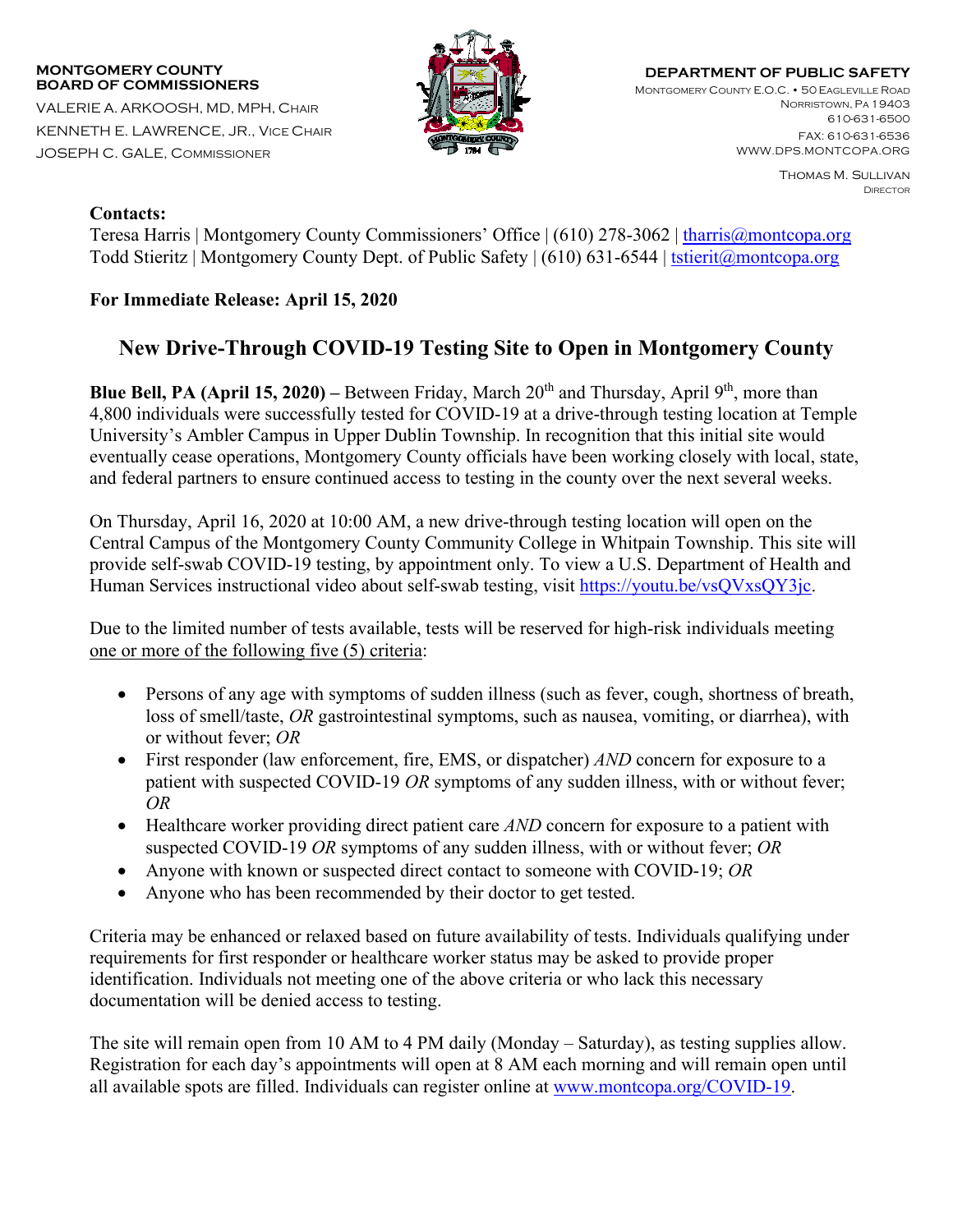## **MONTGOMERY COUNTY BOARD OF COMMISSIONERS**

VALERIE A. ARKOOSH, MD, MPH, CHAIR KENNETH E. LAWRENCE, JR., VICE CHAIR JOSEPH C. GALE, COMMISSIONER



**DEPARTMENT OF PUBLIC SAFETY** MONTGOMERY COUNTY E.O.C. • 50 EAGLEVILLE ROAD NORRISTOWN, PA 19403 610-631-6500 FAX: 610-631-6536

> Thomas M. Sullivan **DIRECTOR**

WWW.DPS.MONTCOPA.ORG

## **Contacts:**

Teresa Harris | Montgomery County Commissioners' Office | (610) 278-3062 | [tharris@montcopa.org](mailto:tharris@montcopa.org) Todd Stieritz | Montgomery County Dept. of Public Safety | (610) 631-6544 | [tstierit@montcopa.org](mailto:tstierit@montcopa.org)

## **For Immediate Release: April 15, 2020**

## **New Drive-Through COVID-19 Testing Site to Open in Montgomery County**

**Blue Bell, PA (April 15, 2020)** – Between Friday, March  $20<sup>th</sup>$  and Thursday, April  $9<sup>th</sup>$ , more than 4,800 individuals were successfully tested for COVID-19 at a drive-through testing location at Temple University's Ambler Campus in Upper Dublin Township. In recognition that this initial site would eventually cease operations, Montgomery County officials have been working closely with local, state, and federal partners to ensure continued access to testing in the county over the next several weeks.

On Thursday, April 16, 2020 at 10:00 AM, a new drive-through testing location will open on the Central Campus of the Montgomery County Community College in Whitpain Township. This site will provide self-swab COVID-19 testing, by appointment only. To view a U.S. Department of Health and Human Services instructional video about self-swab testing, visit [https://youtu.be/vsQVxsQY3jc.](https://youtu.be/vsQVxsQY3jc)

Due to the limited number of tests available, tests will be reserved for high-risk individuals meeting one or more of the following five (5) criteria:

- Persons of any age with symptoms of sudden illness (such as fever, cough, shortness of breath, loss of smell/taste, *OR* gastrointestinal symptoms, such as nausea, vomiting, or diarrhea), with or without fever; *OR*
- First responder (law enforcement, fire, EMS, or dispatcher) *AND* concern for exposure to a patient with suspected COVID-19 *OR* symptoms of any sudden illness, with or without fever; *OR*
- Healthcare worker providing direct patient care *AND* concern for exposure to a patient with suspected COVID-19 *OR* symptoms of any sudden illness, with or without fever; *OR*
- Anyone with known or suspected direct contact to someone with COVID-19; *OR*
- Anyone who has been recommended by their doctor to get tested.

Criteria may be enhanced or relaxed based on future availability of tests. Individuals qualifying under requirements for first responder or healthcare worker status may be asked to provide proper identification. Individuals not meeting one of the above criteria or who lack this necessary documentation will be denied access to testing.

The site will remain open from 10 AM to 4 PM daily (Monday – Saturday), as testing supplies allow. Registration for each day's appointments will open at 8 AM each morning and will remain open until all available spots are filled. Individuals can register online at [www.montcopa.org/COVID-19.](http://www.montcopa.org/COVID-19)